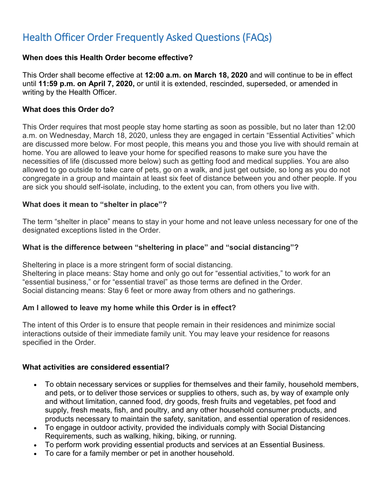# Health Officer Order Frequently Asked Questions (FAQs)

#### **When does this Health Order become effective?**

This Order shall become effective at **12:00 a.m. on March 18, 2020** and will continue to be in effect until **11:59 p.m. on April 7, 2020,** or until it is extended, rescinded, superseded, or amended in writing by the Health Officer.

#### **What does this Order do?**

 This Order requires that most people stay home starting as soon as possible, but no later than 12:00 a.m. on Wednesday, March 18, 2020, unless they are engaged in certain "Essential Activities" which are discussed more below. For most people, this means you and those you live with should remain at home. You are allowed to leave your home for specified reasons to make sure you have the necessities of life (discussed more below) such as getting food and medical supplies. You are also allowed to go outside to take care of pets, go on a walk, and just get outside, so long as you do not congregate in a group and maintain at least six feet of distance between you and other people. If you are sick you should self-isolate, including, to the extent you can, from others you live with.

#### **What does it mean to "shelter in place"?**

The term "shelter in place" means to stay in your home and not leave unless necessary for one of the designated exceptions listed in the Order.

#### **What is the difference between "sheltering in place" and "social distancing"?**

 Sheltering in place is a more stringent form of social distancing. Sheltering in place means: Stay home and only go out for "essential activities," to work for an "essential business," or for "essential travel" as those terms are defined in the Order.

Social distancing means: Stay 6 feet or more away from others and no gatherings.

#### **Am I allowed to leave my home while this Order is in effect?**

The intent of this Order is to ensure that people remain in their residences and minimize social interactions outside of their immediate family unit. You may leave your residence for reasons specified in the Order.

#### **What activities are considered essential?**

- • To obtain necessary services or supplies for themselves and their family, household members, and pets, or to deliver those services or supplies to others, such as, by way of example only supply, fresh meats, fish, and poultry, and any other household consumer products, and products necessary to maintain the safety, sanitation, and essential operation of residences. and without limitation, canned food, dry goods, fresh fruits and vegetables, pet food and
- To engage in outdoor activity, provided the individuals comply with Social Distancing Requirements, such as walking, hiking, biking, or running.
- To perform work providing essential products and services at an Essential Business.
- To care for a family member or pet in another household.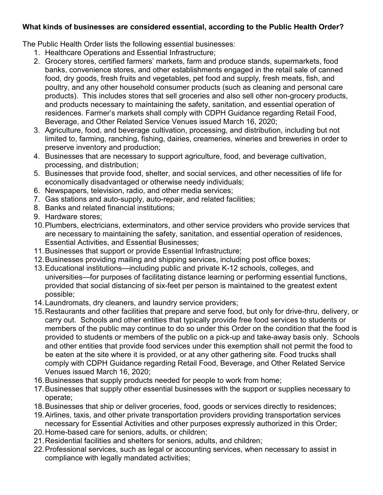# **What kinds of businesses are considered essential, according to the Public Health Order?**

The Public Health Order lists the following essential businesses:

- 1. Healthcare Operations and Essential Infrastructure;
- food, dry goods, fresh fruits and vegetables, pet food and supply, fresh meats, fish, and products). This includes stores that sell groceries and also sell other non-grocery products, 2. Grocery stores, certified farmers' markets, farm and produce stands, supermarkets, food banks, convenience stores, and other establishments engaged in the retail sale of canned poultry, and any other household consumer products (such as cleaning and personal care and products necessary to maintaining the safety, sanitation, and essential operation of residences. Farmer's markets shall comply with CDPH Guidance regarding Retail Food, Beverage, and Other Related Service Venues issued March 16, 2020;
- 3. Agriculture, food, and beverage cultivation, processing, and distribution, including but not limited to, farming, ranching, fishing, dairies, creameries, wineries and breweries in order to preserve inventory and production;
- 4. Businesses that are necessary to support agriculture, food, and beverage cultivation, processing, and distribution;
- 5. Businesses that provide food, shelter, and social services, and other necessities of life for economically disadvantaged or otherwise needy individuals;
- 6. Newspapers, television, radio, and other media services;
- 7. Gas stations and auto-supply, auto-repair, and related facilities;
- 8. Banks and related financial institutions;
- 9. Hardware stores;
- 10.Plumbers, electricians, exterminators, and other service providers who provide services that are necessary to maintaining the safety, sanitation, and essential operation of residences, Essential Activities, and Essential Businesses;
- 11. Businesses that support or provide Essential Infrastructure;
- 12. Businesses providing mailing and shipping services, including post office boxes;
- universities—for purposes of facilitating distance learning or performing essential functions, provided that social distancing of six-feet per person is maintained to the greatest extent 13.Educational institutions—including public and private K-12 schools, colleges, and possible;
- 14.Laundromats, dry cleaners, and laundry service providers;
- carry out. Schools and other entities that typically provide free food services to students or members of the public may continue to do so under this Order on the condition that the food is provided to students or members of the public on a pick-up and take-away basis only. Schools 15.Restaurants and other facilities that prepare and serve food, but only for drive-thru, delivery, or and other entities that provide food services under this exemption shall not permit the food to be eaten at the site where it is provided, or at any other gathering site. Food trucks shall comply with CDPH Guidance regarding Retail Food, Beverage, and Other Related Service Venues issued March 16, 2020;
- 16.Businesses that supply products needed for people to work from home;
- operate: 17.Businesses that supply other essential businesses with the support or supplies necessary to
- operate;<br>18.Businesses that ship or deliver groceries, food, goods or services directly to residences;<br>19.Airlines, taxis, and other private transportation providers providing transportation services
- necessary for Essential Activities and other purposes expressly authorized in this Order;
- 20.Home-based care for seniors, adults, or children;
- 21.Residential facilities and shelters for seniors, adults, and children;
- 22.Professional services, such as legal or accounting services, when necessary to assist in compliance with legally mandated activities;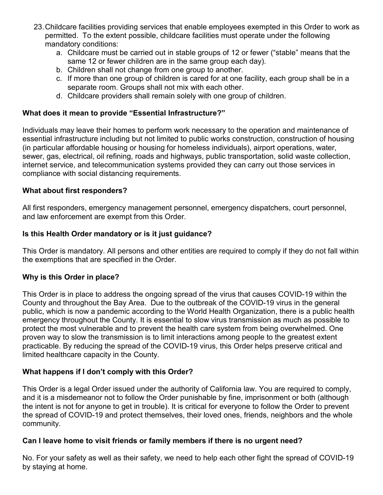- permitted. To the extent possible, childcare facilities must operate under the following 23.Childcare facilities providing services that enable employees exempted in this Order to work as mandatory conditions:
	- same 12 or fewer children are in the same group each day). a. Childcare must be carried out in stable groups of 12 or fewer ("stable" means that the
	- b. Children shall not change from one group to another.
	- separate room. Groups shall not mix with each other. c. If more than one group of children is cared for at one facility, each group shall be in a
	- d. Childcare providers shall remain solely with one group of children.

## **What does it mean to provide "Essential Infrastructure?"**

 Individuals may leave their homes to perform work necessary to the operation and maintenance of essential infrastructure including but not limited to public works construction, construction of housing (in particular affordable housing or housing for homeless individuals), airport operations, water, sewer, gas, electrical, oil refining, roads and highways, public transportation, solid waste collection, internet service, and telecommunication systems provided they can carry out those services in compliance with social distancing requirements.

#### **What about first responders?**

 All first responders, emergency management personnel, emergency dispatchers, court personnel, and law enforcement are exempt from this Order.

## **Is this Health Order mandatory or is it just guidance?**

This Order is mandatory. All persons and other entities are required to comply if they do not fall within the exemptions that are specified in the Order.

#### **Why is this Order in place?**

 County and throughout the Bay Area. Due to the outbreak of the COVID-19 virus in the general This Order is in place to address the ongoing spread of the virus that causes COVID-19 within the public, which is now a pandemic according to the World Health Organization, there is a public health emergency throughout the County. It is essential to slow virus transmission as much as possible to protect the most vulnerable and to prevent the health care system from being overwhelmed. One proven way to slow the transmission is to limit interactions among people to the greatest extent practicable. By reducing the spread of the COVID-19 virus, this Order helps preserve critical and limited healthcare capacity in the County.

#### **What happens if I don't comply with this Order?**

This Order is a legal Order issued under the authority of California law. You are required to comply, and it is a misdemeanor not to follow the Order punishable by fine, imprisonment or both (although the intent is not for anyone to get in trouble). It is critical for everyone to follow the Order to prevent the spread of COVID-19 and protect themselves, their loved ones, friends, neighbors and the whole community.

#### **Can I leave home to visit friends or family members if there is no urgent need?**

No. For your safety as well as their safety, we need to help each other fight the spread of COVID-19 by staying at home.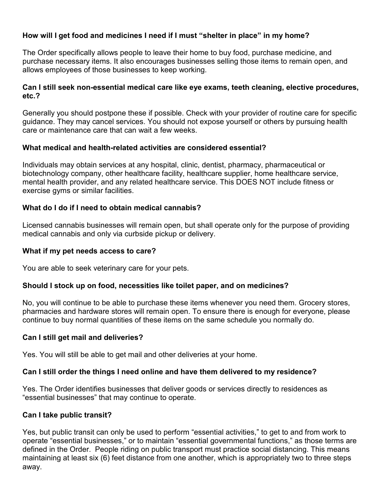# **How will I get food and medicines I need if I must "shelter in place" in my home?**

 purchase necessary items. It also encourages businesses selling those items to remain open, and The Order specifically allows people to leave their home to buy food, purchase medicine, and allows employees of those businesses to keep working.

### **Can I still seek non-essential medical care like eye exams, teeth cleaning, elective procedures, etc.?**

Generally you should postpone these if possible. Check with your provider of routine care for specific guidance. They may cancel services. You should not expose yourself or others by pursuing health care or maintenance care that can wait a few weeks.

#### **What medical and health-related activities are considered essential?**

Individuals may obtain services at any hospital, clinic, dentist, pharmacy, pharmaceutical or biotechnology company, other healthcare facility, healthcare supplier, home healthcare service, mental health provider, and any related healthcare service. This DOES NOT include fitness or exercise gyms or similar facilities.

## **What do I do if I need to obtain medical cannabis?**

Licensed cannabis businesses will remain open, but shall operate only for the purpose of providing medical cannabis and only via curbside pickup or delivery.

### **What if my pet needs access to care?**

You are able to seek veterinary care for your pets.

#### **Should I stock up on food, necessities like toilet paper, and on medicines?**

No, you will continue to be able to purchase these items whenever you need them. Grocery stores, pharmacies and hardware stores will remain open. To ensure there is enough for everyone, please continue to buy normal quantities of these items on the same schedule you normally do.

## **Can I still get mail and deliveries?**

Yes. You will still be able to get mail and other deliveries at your home.

#### **Can I still order the things I need online and have them delivered to my residence?**

 "essential businesses" that may continue to operate. Yes. The Order identifies businesses that deliver goods or services directly to residences as

#### **Can I take public transit?**

 Yes, but public transit can only be used to perform "essential activities," to get to and from work to operate "essential businesses," or to maintain "essential governmental functions," as those terms are defined in the Order. People riding on public transport must practice social distancing. This means maintaining at least six (6) feet distance from one another, which is appropriately two to three steps away.